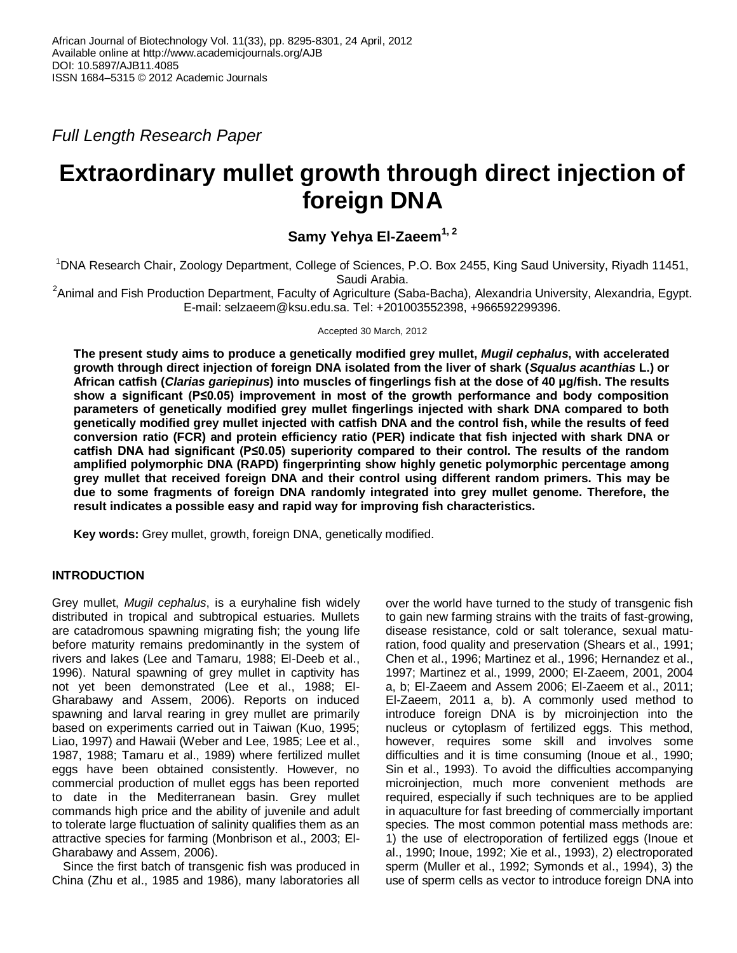*Full Length Research Paper*

# **Extraordinary mullet growth through direct injection of foreign DNA**

## **Samy Yehya El-Zaeem1, 2**

<sup>1</sup>DNA Research Chair, Zoology Department, College of Sciences, P.O. Box 2455, King Saud University, Riyadh 11451, Saudi Arabia.

<sup>2</sup>Animal and Fish Production Department, Faculty of Agriculture (Saba-Bacha), Alexandria University, Alexandria, Egypt. E-mail: selzaeem@ksu.edu.sa. Tel: +201003552398, +966592299396.

Accepted 30 March, 2012

**The present study aims to produce a genetically modified grey mullet,** *Mugil cephalus***, with accelerated growth through direct injection of foreign DNA isolated from the liver of shark (***Squalus acanthias* **L.) or African catfish (***Clarias gariepinus***) into muscles of fingerlings fish at the dose of 40 µg/fish. The results show a significant (P≤0.05) improvement in most of the growth performance and body composition parameters of genetically modified grey mullet fingerlings injected with shark DNA compared to both genetically modified grey mullet injected with catfish DNA and the control fish, while the results of feed conversion ratio (FCR) and protein efficiency ratio (PER) indicate that fish injected with shark DNA or catfish DNA had significant (P≤0.05) superiority compared to their control. The results of the random amplified polymorphic DNA (RAPD) fingerprinting show highly genetic polymorphic percentage among grey mullet that received foreign DNA and their control using different random primers. This may be due to some fragments of foreign DNA randomly integrated into grey mullet genome. Therefore, the result indicates a possible easy and rapid way for improving fish characteristics.** 

**Key words:** Grey mullet, growth, foreign DNA, genetically modified.

### **INTRODUCTION**

Grey mullet, *Mugil cephalus*, is a euryhaline fish widely distributed in tropical and subtropical estuaries. Mullets are catadromous spawning migrating fish; the young life before maturity remains predominantly in the system of rivers and lakes (Lee and Tamaru, 1988; El-Deeb et al., 1996). Natural spawning of grey mullet in captivity has not yet been demonstrated (Lee et al., 1988; El-Gharabawy and Assem, 2006). Reports on induced spawning and larval rearing in grey mullet are primarily based on experiments carried out in Taiwan (Kuo, 1995; Liao, 1997) and Hawaii (Weber and Lee, 1985; Lee et al., 1987, 1988; Tamaru et al., 1989) where fertilized mullet eggs have been obtained consistently. However, no commercial production of mullet eggs has been reported to date in the Mediterranean basin. Grey mullet commands high price and the ability of juvenile and adult to tolerate large fluctuation of salinity qualifies them as an attractive species for farming (Monbrison et al., 2003; El-Gharabawy and Assem, 2006).

Since the first batch of transgenic fish was produced in China (Zhu et al., 1985 and 1986), many laboratories all over the world have turned to the study of transgenic fish to gain new farming strains with the traits of fast-growing, disease resistance, cold or salt tolerance, sexual maturation, food quality and preservation (Shears et al., 1991; Chen et al., 1996; Martinez et al., 1996; Hernandez et al., 1997; Martinez et al., 1999, 2000; El-Zaeem, 2001, 2004 a, b; El-Zaeem and Assem 2006; El-Zaeem et al., 2011; El-Zaeem, 2011 a, b). A commonly used method to introduce foreign DNA is by microinjection into the nucleus or cytoplasm of fertilized eggs. This method, however, requires some skill and involves some difficulties and it is time consuming (Inoue et al., 1990; Sin et al., 1993). To avoid the difficulties accompanying microinjection, much more convenient methods are required, especially if such techniques are to be applied in aquaculture for fast breeding of commercially important species. The most common potential mass methods are: 1) the use of electroporation of fertilized eggs (Inoue et al., 1990; Inoue, 1992; Xie et al., 1993), 2) electroporated sperm (Muller et al., 1992; Symonds et al., 1994), 3) the use of sperm cells as vector to introduce foreign DNA into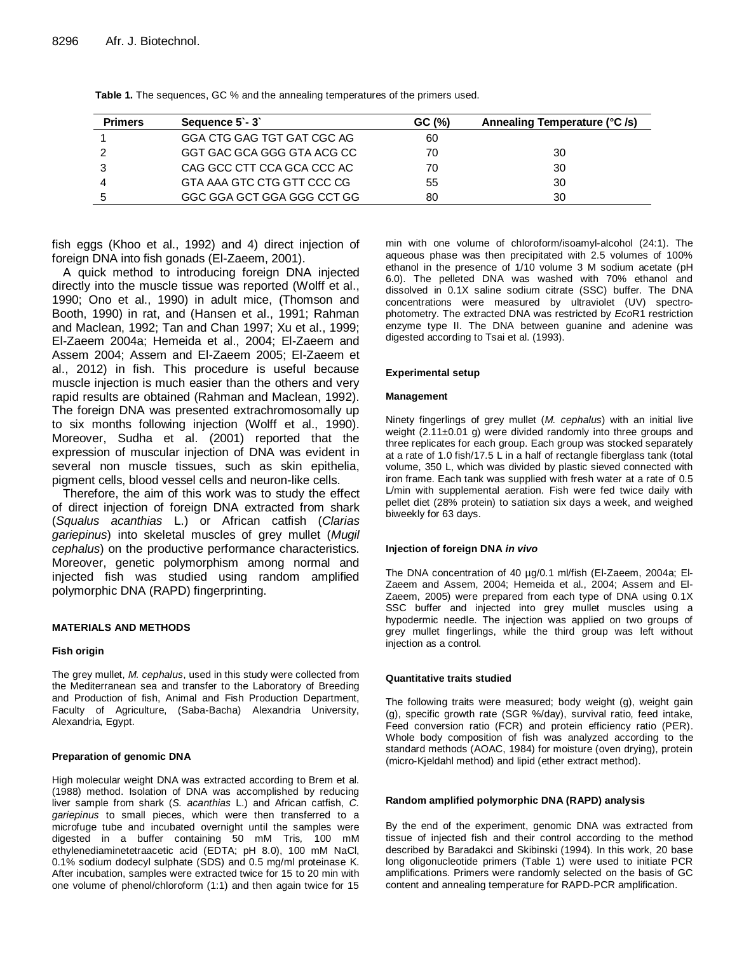| <b>Primers</b> | Sequence 5 - 3             | GC (%) | Annealing Temperature (°C /s) |
|----------------|----------------------------|--------|-------------------------------|
|                | GGA CTG GAG TGT GAT CGC AG | 60     |                               |
|                | GGT GAC GCA GGG GTA ACG CC | 70     | 30                            |
|                | CAG GCC CTT CCA GCA CCC AC | 70     | 30                            |
|                | GTA AAA GTC CTG GTT CCC CG | 55     | 30                            |
|                | GGC GGA GCT GGA GGG CCT GG | 80     | 30                            |

**Table 1.** The sequences, GC % and the annealing temperatures of the primers used.

fish eggs (Khoo et al., 1992) and 4) direct injection of foreign DNA into fish gonads (El-Zaeem, 2001).

A quick method to introducing foreign DNA injected directly into the muscle tissue was reported (Wolff et al., 1990; Ono et al., 1990) in adult mice, (Thomson and Booth, 1990) in rat, and (Hansen et al., 1991; Rahman and Maclean, 1992; Tan and Chan 1997; Xu et al., 1999; El-Zaeem 2004a; Hemeida et al., 2004; El-Zaeem and Assem 2004; Assem and El-Zaeem 2005; El-Zaeem et al., 2012) in fish. This procedure is useful because muscle injection is much easier than the others and very rapid results are obtained (Rahman and Maclean, 1992). The foreign DNA was presented extrachromosomally up to six months following injection (Wolff et al., 1990). Moreover, Sudha et al. (2001) reported that the expression of muscular injection of DNA was evident in several non muscle tissues, such as skin epithelia, pigment cells, blood vessel cells and neuron-like cells.

Therefore, the aim of this work was to study the effect of direct injection of foreign DNA extracted from shark (*Squalus acanthias* L.) or African catfish (*Clarias gariepinus*) into skeletal muscles of grey mullet (*Mugil cephalus*) on the productive performance characteristics. Moreover, genetic polymorphism among normal and injected fish was studied using random amplified polymorphic DNA (RAPD) fingerprinting.

#### **MATERIALS AND METHODS**

#### **Fish origin**

The grey mullet, *M. cephalus*, used in this study were collected from the Mediterranean sea and transfer to the Laboratory of Breeding and Production of fish, Animal and Fish Production Department, Faculty of Agriculture, (Saba-Bacha) Alexandria University, Alexandria, Egypt.

#### **Preparation of genomic DNA**

High molecular weight DNA was extracted according to Brem et al. (1988) method. Isolation of DNA was accomplished by reducing liver sample from shark (*S. acanthias* L.) and African catfish, *C. gariepinus* to small pieces, which were then transferred to a microfuge tube and incubated overnight until the samples were digested in a buffer containing 50 mM Tris*,* 100 mM ethylenediaminetetraacetic acid (EDTA; pH 8.0), 100 mM NaCl, 0.1% sodium dodecyl sulphate (SDS) and 0.5 mg/ml proteinase K. After incubation, samples were extracted twice for 15 to 20 min with one volume of phenol/chloroform (1:1) and then again twice for 15 min with one volume of chloroform/isoamyl-alcohol (24:1). The aqueous phase was then precipitated with 2.5 volumes of 100% ethanol in the presence of 1/10 volume 3 M sodium acetate (pH 6.0). The pelleted DNA was washed with 70% ethanol and dissolved in 0.1X saline sodium citrate (SSC) buffer. The DNA concentrations were measured by ultraviolet (UV) spectrophotometry. The extracted DNA was restricted by *Eco*R1 restriction enzyme type II. The DNA between guanine and adenine was digested according to Tsai et al. (1993).

#### **Experimental setup**

#### **Management**

Ninety fingerlings of grey mullet (*M. cephalus*) with an initial live weight (2.11±0.01 g) were divided randomly into three groups and three replicates for each group. Each group was stocked separately at a rate of 1.0 fish/17.5 L in a half of rectangle fiberglass tank (total volume, 350 L, which was divided by plastic sieved connected with iron frame. Each tank was supplied with fresh water at a rate of 0.5 L/min with supplemental aeration. Fish were fed twice daily with pellet diet (28% protein) to satiation six days a week, and weighed biweekly for 63 days.

#### **Injection of foreign DNA** *in vivo*

The DNA concentration of 40 µg/0.1 ml/fish (El-Zaeem, 2004a; El-Zaeem and Assem, 2004; Hemeida et al., 2004; Assem and El-Zaeem, 2005) were prepared from each type of DNA using 0.1X SSC buffer and injected into grey mullet muscles using a hypodermic needle. The injection was applied on two groups of grey mullet fingerlings, while the third group was left without injection as a control.

#### **Quantitative traits studied**

The following traits were measured; body weight (g), weight gain (g), specific growth rate (SGR %/day), survival ratio, feed intake, Feed conversion ratio (FCR) and protein efficiency ratio (PER). Whole body composition of fish was analyzed according to the standard methods (AOAC, 1984) for moisture (oven drying), protein (micro-Kjeldahl method) and lipid (ether extract method).

#### **Random amplified polymorphic DNA (RAPD) analysis**

By the end of the experiment, genomic DNA was extracted from tissue of injected fish and their control according to the method described by Baradakci and Skibinski (1994). In this work, 20 base long oligonucleotide primers (Table 1) were used to initiate PCR amplifications. Primers were randomly selected on the basis of GC content and annealing temperature for RAPD-PCR amplification.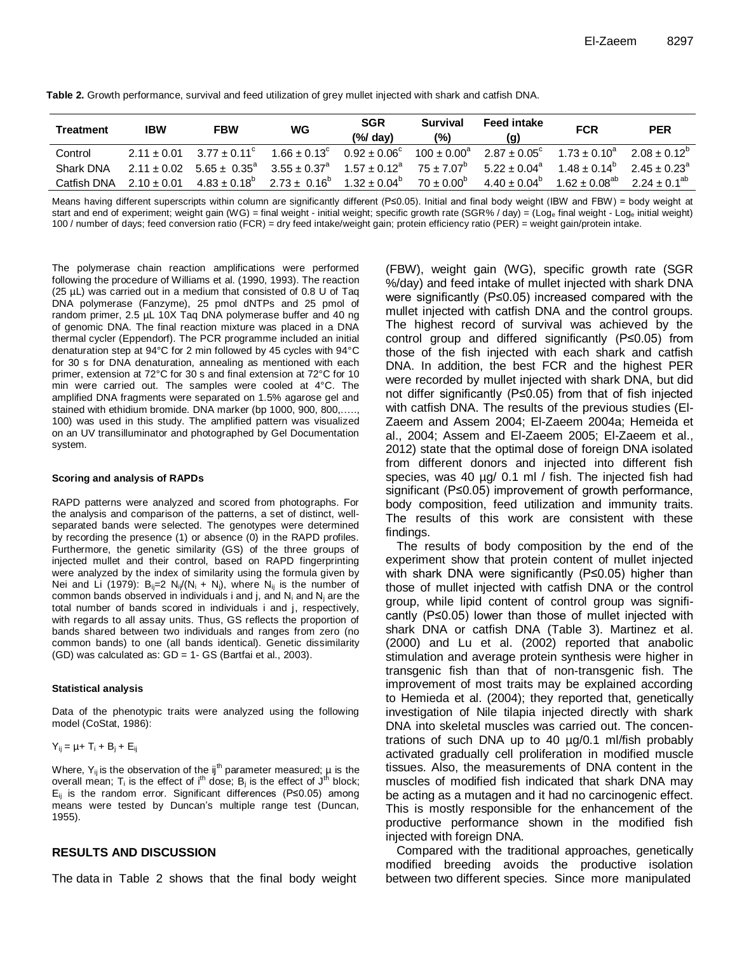**Table 2.** Growth performance, survival and feed utilization of grey mullet injected with shark and catfish DNA.

| <b>Treatment</b> | <b>IBW</b>      | <b>FBW</b>                                                                              | WG                                                    | <b>SGR</b><br>$(\%$ day) | <b>Survival</b><br>(%)    | <b>Feed intake</b><br>(g) | <b>FCR</b>         | <b>PER</b>        |
|------------------|-----------------|-----------------------------------------------------------------------------------------|-------------------------------------------------------|--------------------------|---------------------------|---------------------------|--------------------|-------------------|
| Control          |                 | $2.11 \pm 0.01$ $3.77 \pm 0.11^{\circ}$                                                 | $1.66 \pm 0.13^c$                                     | $0.92 \pm 0.06^{\circ}$  | 100 $\pm$ 0.00 $^{\rm a}$ | $2.87 \pm 0.05^{\circ}$   | $1.73 \pm 0.10^a$  | $2.08 + 0.12^b$   |
| Shark DNA        |                 | $2.11 \pm 0.02$ $5.65 \pm 0.35^{\circ}$ $3.55 \pm 0.37^{\circ}$ $1.57 \pm 0.12^{\circ}$ |                                                       |                          | $75 \pm 7.07^{\circ}$     | $5.22 + 0.04^{\circ}$     | $1.48 + 0.14^b$    | $2.45 + 0.23a$    |
| Catfish DNA      | $2.10 \pm 0.01$ |                                                                                         | $4.83 \pm 0.18^b$ $2.73 \pm 0.16^b$ $1.32 \pm 0.04^b$ |                          | $70 \pm 0.00^6$           | $4.40 \pm 0.04^b$         | $1.62 + 0.08^{ab}$ | $2.24 + 0.1^{ab}$ |

Means having different superscripts within column are significantly different (P≤0.05). Initial and final body weight (IBW and FBW) = body weight at start and end of experiment; weight gain (WG) = final weight - initial weight; specific growth rate (SGR% / day) = (Loge final weight - Loge initial weight) 100 / number of days; feed conversion ratio (FCR) = dry feed intake/weight gain; protein efficiency ratio (PER) = weight gain/protein intake.

The polymerase chain reaction amplifications were performed following the procedure of Williams et al. (1990, 1993). The reaction (25 µL) was carried out in a medium that consisted of 0.8 U of Taq DNA polymerase (Fanzyme), 25 pmol dNTPs and 25 pmol of random primer, 2.5 µL 10X Taq DNA polymerase buffer and 40 ng of genomic DNA. The final reaction mixture was placed in a DNA thermal cycler (Eppendorf). The PCR programme included an initial denaturation step at 94°C for 2 min followed by 45 cycles with 94°C for 30 s for DNA denaturation, annealing as mentioned with each primer, extension at 72°C for 30 s and final extension at 72°C for 10 min were carried out. The samples were cooled at 4°C. The amplified DNA fragments were separated on 1.5% agarose gel and stained with ethidium bromide. DNA marker (bp 1000, 900, 800,.…., 100) was used in this study. The amplified pattern was visualized on an UV transilluminator and photographed by Gel Documentation system.

#### **Scoring and analysis of RAPDs**

RAPD patterns were analyzed and scored from photographs. For the analysis and comparison of the patterns, a set of distinct, wellseparated bands were selected. The genotypes were determined by recording the presence (1) or absence (0) in the RAPD profiles. Furthermore, the genetic similarity (GS) of the three groups of injected mullet and their control, based on RAPD fingerprinting were analyzed by the index of similarity using the formula given by Nei and Li (1979):  $B_{ii}=2 N_{ii}/(N_i + N_i)$ , where  $N_{ii}$  is the number of common bands observed in individuals i and j, and  $N_i$  and  $N_j$  are the total number of bands scored in individuals i and j, respectively, with regards to all assay units. Thus, GS reflects the proportion of bands shared between two individuals and ranges from zero (no common bands) to one (all bands identical). Genetic dissimilarity (GD) was calculated as: GD = 1- GS (Bartfai et al., 2003).

#### **Statistical analysis**

Data of the phenotypic traits were analyzed using the following model (CoStat, 1986):

 $Y_{ij} = \mu + T_i + B_j + E_{ij}$ 

Where,  $Y_{ii}$  is the observation of the ij<sup>th</sup> parameter measured;  $\mu$  is the overall mean;  $T_i$  is the effect of i<sup>th</sup> dose;  $B_i$  is the effect of  $J<sup>th</sup>$  block; Eij is the random error. Significant differences (P≤0.05) among means were tested by Duncan's multiple range test (Duncan, 1955).

#### **RESULTS AND DISCUSSION**

The data in Table 2 shows that the final body weight

(FBW), weight gain (WG), specific growth rate (SGR %/day) and feed intake of mullet injected with shark DNA were significantly (P≤0.05) increased compared with the mullet injected with catfish DNA and the control groups. The highest record of survival was achieved by the control group and differed significantly (P≤0.05) from those of the fish injected with each shark and catfish DNA. In addition, the best FCR and the highest PER were recorded by mullet injected with shark DNA, but did not differ significantly (P≤0.05) from that of fish injected with catfish DNA. The results of the previous studies (El-Zaeem and Assem 2004; El-Zaeem 2004a; Hemeida et al., 2004; Assem and El-Zaeem 2005; El-Zaeem et al., 2012) state that the optimal dose of foreign DNA isolated from different donors and injected into different fish species, was 40 µg/ 0.1 ml / fish. The injected fish had significant (P≤0.05) improvement of growth performance, body composition, feed utilization and immunity traits. The results of this work are consistent with these findings.

The results of body composition by the end of the experiment show that protein content of mullet injected with shark DNA were significantly (P≤0.05) higher than those of mullet injected with catfish DNA or the control group, while lipid content of control group was significantly (P≤0.05) lower than those of mullet injected with shark DNA or catfish DNA (Table 3). Martinez et al. (2000) and Lu et al. (2002) reported that anabolic stimulation and average protein synthesis were higher in transgenic fish than that of non-transgenic fish. The improvement of most traits may be explained according to Hemieda et al. (2004); they reported that, genetically investigation of Nile tilapia injected directly with shark DNA into skeletal muscles was carried out. The concentrations of such DNA up to 40 µg/0.1 ml/fish probably activated gradually cell proliferation in modified muscle tissues. Also, the measurements of DNA content in the muscles of modified fish indicated that shark DNA may be acting as a mutagen and it had no carcinogenic effect. This is mostly responsible for the enhancement of the productive performance shown in the modified fish injected with foreign DNA.

Compared with the traditional approaches, genetically modified breeding avoids the productive isolation between two different species. Since more manipulated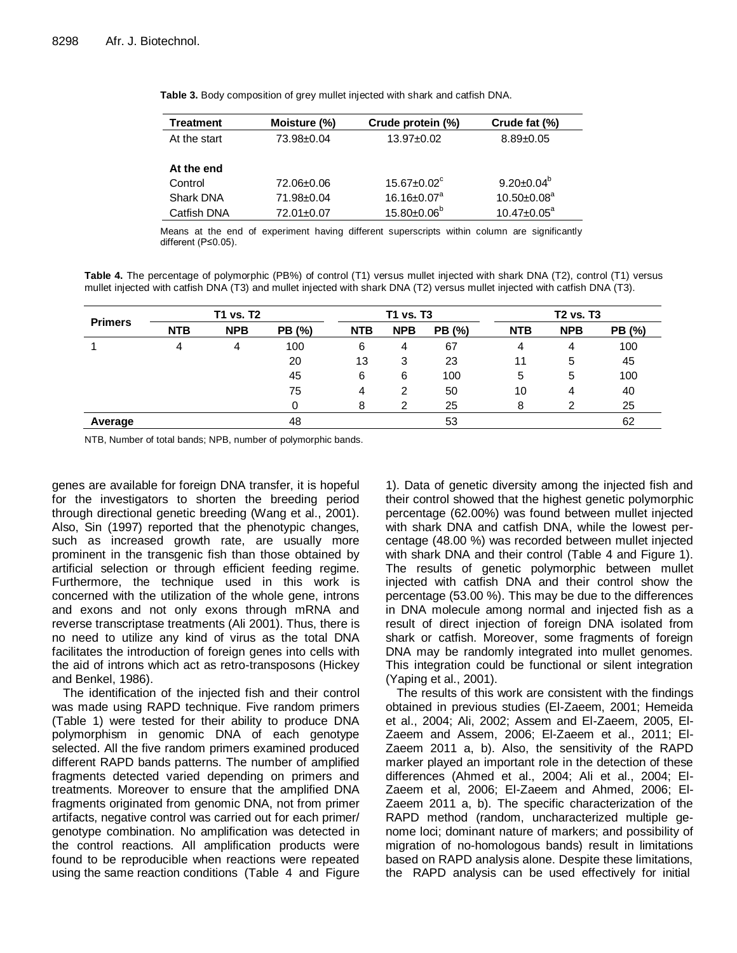| <b>Treatment</b> | Moisture (%) | Crude protein (%)             | Crude fat (%)            |  |
|------------------|--------------|-------------------------------|--------------------------|--|
| At the start     | 73.98±0.04   | 13.97±0.02                    | $8.89 + 0.05$            |  |
|                  |              |                               |                          |  |
| At the end       |              |                               |                          |  |
| Control          | 72.06±0.06   | $15.67 \pm 0.02$ <sup>c</sup> | $9.20 \pm 0.04^b$        |  |
| <b>Shark DNA</b> | 71.98±0.04   | $16.16 \pm 0.07^a$            | $10.50 \pm 0.08^a$       |  |
| Catfish DNA      | 72.01±0.07   | $15.80 \pm 0.06^b$            | $10.47 \pm 0.05^{\circ}$ |  |
|                  |              |                               |                          |  |

**Table 3.** Body composition of grey mullet injected with shark and catfish DNA.

Means at the end of experiment having different superscripts within column are significantly different (P≤0.05).

**Table 4.** The percentage of polymorphic (PB%) of control (T1) versus mullet injected with shark DNA (T2), control (T1) versus mullet injected with catfish DNA (T3) and mullet injected with shark DNA (T2) versus mullet injected with catfish DNA (T3).

| <b>T1 vs. T2</b> |            |        | T1 vs. T3  |            |        |            | <b>T2 vs. T3</b> |        |  |
|------------------|------------|--------|------------|------------|--------|------------|------------------|--------|--|
| <b>NTB</b>       | <b>NPB</b> | PB (%) | <b>NTB</b> | <b>NPB</b> | PB (%) | <b>NTB</b> | <b>NPB</b>       | PB (%) |  |
| 4                | 4          | 100    | 6          | 4          | 67     | 4          | 4                | 100    |  |
|                  |            | 20     | 13         | 3          | 23     | 11         | 5                | 45     |  |
|                  |            | 45     | 6          | 6          | 100    | 5          | 5                | 100    |  |
|                  |            | 75     | 4          | 2          | 50     | 10         | 4                | 40     |  |
|                  |            | 0      | 8          | 2          | 25     | 8          |                  | 25     |  |
|                  |            | 48     |            |            | 53     |            |                  | 62     |  |
|                  |            |        |            |            |        |            |                  |        |  |

NTB, Number of total bands; NPB, number of polymorphic bands.

genes are available for foreign DNA transfer, it is hopeful for the investigators to shorten the breeding period through directional genetic breeding (Wang et al., 2001). Also, Sin (1997) reported that the phenotypic changes, such as increased growth rate, are usually more prominent in the transgenic fish than those obtained by artificial selection or through efficient feeding regime. Furthermore, the technique used in this work is concerned with the utilization of the whole gene, introns and exons and not only exons through mRNA and reverse transcriptase treatments (Ali 2001). Thus, there is no need to utilize any kind of virus as the total DNA facilitates the introduction of foreign genes into cells with the aid of introns which act as retro-transposons (Hickey and Benkel, 1986).

The identification of the injected fish and their control was made using RAPD technique. Five random primers (Table 1) were tested for their ability to produce DNA polymorphism in genomic DNA of each genotype selected. All the five random primers examined produced different RAPD bands patterns. The number of amplified fragments detected varied depending on primers and treatments. Moreover to ensure that the amplified DNA fragments originated from genomic DNA, not from primer artifacts, negative control was carried out for each primer/ genotype combination. No amplification was detected in the control reactions. All amplification products were found to be reproducible when reactions were repeated using the same reaction conditions (Table 4 and Figure

1). Data of genetic diversity among the injected fish and their control showed that the highest genetic polymorphic percentage (62.00%) was found between mullet injected with shark DNA and catfish DNA, while the lowest percentage (48.00 %) was recorded between mullet injected with shark DNA and their control (Table 4 and Figure 1). The results of genetic polymorphic between mullet injected with catfish DNA and their control show the percentage (53.00 %). This may be due to the differences in DNA molecule among normal and injected fish as a result of direct injection of foreign DNA isolated from shark or catfish. Moreover, some fragments of foreign DNA may be randomly integrated into mullet genomes. This integration could be functional or silent integration (Yaping et al., 2001).

The results of this work are consistent with the findings obtained in previous studies (El-Zaeem, 2001; Hemeida et al., 2004; Ali, 2002; Assem and El-Zaeem, 2005, El-Zaeem and Assem, 2006; El-Zaeem et al., 2011; El-Zaeem 2011 a, b). Also, the sensitivity of the RAPD marker played an important role in the detection of these differences (Ahmed et al., 2004; Ali et al., 2004; El-Zaeem et al, 2006; El-Zaeem and Ahmed, 2006; El-Zaeem 2011 a, b). The specific characterization of the RAPD method (random, uncharacterized multiple genome loci; dominant nature of markers; and possibility of migration of no-homologous bands) result in limitations based on RAPD analysis alone. Despite these limitations, the RAPD analysis can be used effectively for initial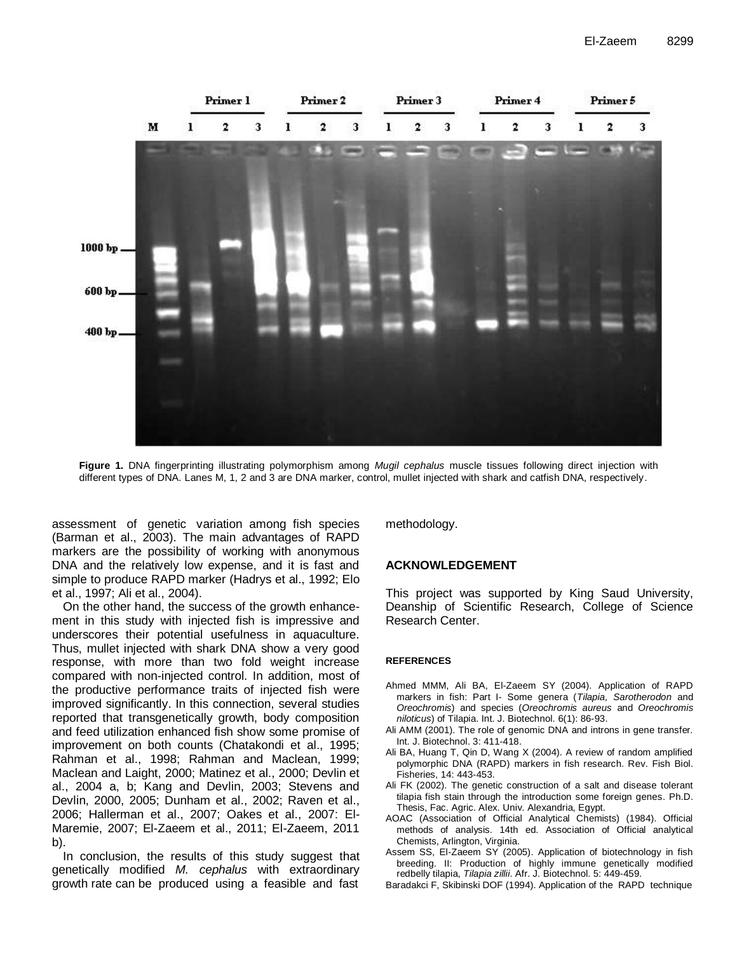

**Figure 1.** DNA fingerprinting illustrating polymorphism among *Mugil cephalus* muscle tissues following direct injection with different types of DNA. Lanes M, 1, 2 and 3 are DNA marker, control, mullet injected with shark and catfish DNA, respectively.

assessment of genetic variation among fish species (Barman et al., 2003). The main advantages of RAPD markers are the possibility of working with anonymous DNA and the relatively low expense, and it is fast and simple to produce RAPD marker (Hadrys et al., 1992; Elo et al., 1997; Ali et al., 2004).

On the other hand, the success of the growth enhancement in this study with injected fish is impressive and underscores their potential usefulness in aquaculture. Thus, mullet injected with shark DNA show a very good response, with more than two fold weight increase compared with non-injected control. In addition, most of the productive performance traits of injected fish were improved significantly. In this connection, several studies reported that transgenetically growth, body composition and feed utilization enhanced fish show some promise of improvement on both counts (Chatakondi et al., 1995; Rahman et al., 1998; Rahman and Maclean, 1999; Maclean and Laight, 2000; Matinez et al., 2000; Devlin et al., 2004 a, b; Kang and Devlin, 2003; Stevens and Devlin, 2000, 2005; Dunham et al., 2002; Raven et al., 2006; Hallerman et al., 2007; Oakes et al., 2007: El-Maremie, 2007; El-Zaeem et al., 2011; El-Zaeem, 2011 b).

In conclusion, the results of this study suggest that genetically modified *M. cephalus* with extraordinary growth rate can be produced using a feasible and fast methodology.

#### **ACKNOWLEDGEMENT**

This project was supported by King Saud University, Deanship of Scientific Research, College of Science Research Center.

#### **REFERENCES**

- Ahmed MMM, Ali BA, El-Zaeem SY (2004). Application of RAPD markers in fish: Part I- Some genera (*Tilapia, Sarotherodon* and *Oreochromis*) and species (*Oreochromis aureus* and *Oreochromis niloticus*) of Tilapia. Int. J. Biotechnol. 6(1): 86-93.
- Ali AMM (2001). The role of genomic DNA and introns in gene transfer. Int. J. Biotechnol. 3: 411-418.
- Ali BA, Huang T, Qin D, Wang X (2004). A review of random amplified polymorphic DNA (RAPD) markers in fish research. Rev. Fish Biol. Fisheries, 14: 443-453.
- Ali FK (2002). The genetic construction of a salt and disease tolerant tilapia fish stain through the introduction some foreign genes. Ph.D. Thesis, Fac. Agric. Alex. Univ. Alexandria, Egypt.
- AOAC (Association of Official Analytical Chemists) (1984). Official methods of analysis. 14th ed. Association of Official analytical Chemists, Arlington, Virginia.
- Assem SS, El-Zaeem SY (2005). Application of biotechnology in fish breeding. II: Production of highly immune genetically modified redbelly tilapia, *Tilapia zillii*. Afr. J. Biotechnol. 5: 449-459.
- Baradakci F, Skibinski DOF (1994). Application of the RAPD technique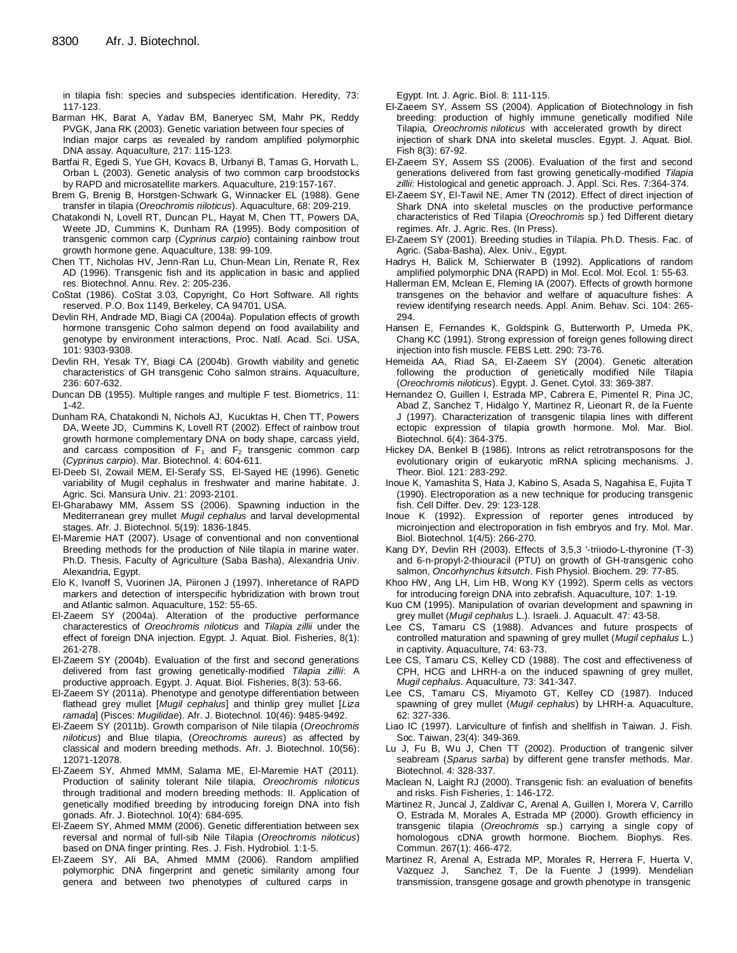in tilapia fish: species and subspecies identification. Heredity, 73: 117-123.

- Barman HK, Barat A, Yadav BM, Baneryec SM, Mahr PK, Reddy PVGK, Jana RK (2003). Genetic variation between four species of Indian major carps as revealed by random amplified polymorphic DNA assay. Aquaculture, 217: 115-123.
- Bartfai R, Egedi S, Yue GH, Kovacs B, Urbanyi B, Tamas G, Horvath L, Orban L (2003). Genetic analysis of two common carp broodstocks by RAPD and microsatellite markers. Aquaculture, 219:157-167.
- Brem G, Brenig B, Horstgen-Schwark G, Winnacker EL (1988). Gene transfer in tilapia (*Oreochromis niloticus*). Aquaculture, 68: 209-219.
- Chatakondi N, Lovell RT, Duncan PL, Hayat M, Chen TT, Powers DA, Weete JD, Cummins K, Dunham RA (1995). Body composition of transgenic common carp (*Cyprinus carpio*) containing rainbow trout growth hormone gene. Aquaculture, 138: 99-109.
- Chen TT, Nicholas HV, Jenn-Ran Lu, Chun-Mean Lin, Renate R, Rex AD (1996). Transgenic fish and its application in basic and applied res. Biotechnol. Annu. Rev. 2: 205-236.
- CoStat (1986). CoStat 3.03, Copyright, Co Hort Software. All rights reserved. P.O. Box 1149, Berkeley, CA 94701, USA.
- [Devlin RH,](http://ovidsp.tx.ovid.com/spb/ovidweb.cgi?&S=GNMAFPHGICDDLGBJNCHLMDJLGCPPAA00&Search+Link=%22Devlin%2c+RH%22.au.) Andrade MD, Biagi CA (2004a). Population effects of growth hormone transgenic Coho salmon depend on food availability and genotype by environment interactions, Proc. Natl. Acad. Sci. USA, 101: 9303-9308.
- [Devlin RH,](http://ovidsp.tx.ovid.com/spb/ovidweb.cgi?&S=GNMAFPHGICDDLGBJNCHLMDJLGCPPAA00&Search+Link=%22Devlin%2c+RH%22.au.) Yesak TY, Biagi CA (2004b). Growth viability and genetic characteristics of GH transgenic Coho salmon strains. Aquaculture, 236: 607-632.
- Duncan DB (1955). Multiple ranges and multiple F test. Biometrics, 11: 1-42.
- Dunham RA, Chatakondi N, Nichols AJ, Kucuktas H, Chen TT, Powers DA, Weete JD, Cummins K, Lovell RT (2002). Effect of rainbow trout growth hormone complementary DNA on body shape, carcass yield, and carcass composition of  $F_1$  and  $F_2$  transgenic common carp (*Cyprinus carpio*). Mar. Biotechnol. 4: 604-611.
- El-Deeb SI, Zowail MEM, El-Serafy SS, El-Sayed HE (1996). Genetic variability of Mugil cephalus in freshwater and marine habitate. J. Agric. Sci. Mansura Univ. 21: 2093-2101.
- El-Gharabawy MM, Assem SS (2006). Spawning induction in the Mediterranean grey mullet *Mugil cephalus* and larval developmental stages. Afr. J. Biotechnol. 5(19): 1836-1845.
- El-Maremie HAT (2007). Usage of conventional and non conventional Breeding methods for the production of Nile tilapia in marine water. Ph.D. Thesis, Faculty of Agriculture (Saba Basha), Alexandria Univ. Alexandria, Egypt.
- Elo K, Ivanoff S, Vuorinen JA, Piironen J (1997). Inheretance of RAPD markers and detection of interspecific hybridization with brown trout and Atlantic salmon. Aquaculture, 152: 55-65.
- El-Zaeem SY (2004a). Alteration of the productive performance characterestics of *Oreochromis niloticus* and *Tilapia zillii* under the effect of foreign DNA injection. Egypt. J. Aquat. Biol. Fisheries, 8(1): 261-278.
- El-Zaeem SY (2004b). Evaluation of the first and second generations delivered from fast growing genetically-modified *Tilapia zillii*: A productive approach. Egypt. J. Aquat. Biol. Fisheries, 8(3): 53-66.
- El-Zaeem SY (2011a). Phenotype and genotype differentiation between flathead grey mullet [*Mugil cephalus*] and thinlip grey mullet [*Liza ramada*] (Pisces: *Mugilidae*). Afr. J. Biotechnol. 10(46): 9485-9492.
- El-Zaeem SY (2011b). Growth comparison of Nile tilapia (*Oreochromis niloticus*) and Blue tilapia, (*Oreochromis aureus*) as affected by classical and modern breeding methods. Afr. J. Biotechnol. 10(56): 12071-12078.
- El-Zaeem SY, Ahmed MMM, Salama ME, El-Maremie HAT (2011). Production of salinity tolerant Nile tilapia, *Oreochromis niloticus*  through traditional and modern breeding methods: II. Application of genetically modified breeding by introducing foreign DNA into fish gonads. Afr. J. Biotechnol. 10(4): 684-695.
- El-Zaeem SY, Ahmed MMM (2006). Genetic differentiation between sex reversal and normal of full-sib Nile Tilapia (*Oreochromis niloticus*) based on DNA finger printing. Res. J. Fish. Hydrobiol. 1:1-5.
- El-Zaeem SY, Ali BA, Ahmed MMM (2006). Random amplified polymorphic DNA fingerprint and genetic similarity among four genera and between two phenotypes of cultured carps in

Egypt. Int. J. Agric. Biol. 8: 111-115.

- El-Zaeem SY, Assem SS (2004). Application of Biotechnology in fish breeding: production of highly immune genetically modified Nile Tilapia, *Oreochromis niloticus* with accelerated growth by direct injection of shark DNA into skeletal muscles. Egypt. J. Aquat. Biol. Fish 8(3): 67-92.
- El-Zaeem SY, Assem SS (2006). Evaluation of the first and second generations delivered from fast growing genetically-modified *Tilapia zillii*: Histological and genetic approach. J. Appl. Sci. Res. 7:364-374.
- El-Zaeem SY, El-Tawil NE, Amer TN (2012). Effect of direct injection of Shark DNA into skeletal muscles on the productive performance characteristics of Red Tilapia (*Oreochromis* sp.) fed Different dietary regimes. Afr. J. Agric. Res. (In Press).
- El-Zaeem SY (2001). Breeding studies in Tilapia. Ph.D. Thesis. Fac. of Agric. (Saba-Basha), Alex. Univ., Egypt.
- Hadrys H, Balick M, Schierwater B (1992). Applications of random amplified polymorphic DNA (RAPD) in Mol. Ecol. Mol. Ecol. 1: 55-63.
- Hallerman EM, Mclean E, Fleming IA (2007). Effects of growth hormone transgenes on the behavior and welfare of aquaculture fishes: A review identifying research needs. Appl. Anim. Behav. Sci. 104: 265- 294.
- Hansen E, Fernandes K, Goldspink G, Butterworth P, Umeda PK, Chang KC (1991). Strong expression of foreign genes following direct injection into fish muscle. FEBS Lett. 290: 73-76.
- Hemeida AA, Riad SA, El-Zaeem SY (2004). Genetic alteration following the production of genetically modified Nile Tilapia (*Oreochromis niloticus*). Egypt. J. Genet. Cytol. 33: 369-387.
- Hernandez O, Guillen I, Estrada MP, Cabrera E, Pimentel R, Pina JC, Abad Z, Sanchez T, Hidalgo Y, Martinez R, Lieonart R, de la Fuente J (1997). Characterization of transgenic tilapia lines with different ectopic expression of tilapia growth hormone. Mol. Mar. Biol. Biotechnol. 6(4): 364-375.
- Hickey DA, Benkel B (1986). Introns as relict retrotransposons for the evolutionary origin of eukaryotic mRNA splicing mechanisms. J. Theor. Biol. 121: 283-292.
- Inoue K, Yamashita S, Hata J, Kabino S, Asada S, Nagahisa E, Fujita T (1990). Electroporation as a new technique for producing transgenic fish. Cell Differ. Dev. 29: 123-128.
- Inoue K (1992). Expression of reporter genes introduced by microinjection and electroporation in fish embryos and fry. Mol. Mar. Biol. Biotechnol. 1(4/5): 266-270.
- Kang DY, Devlin RH (2003). [Effects of 3,5,3 '-triiodo-L-thyronine \(T-3\)](http://apps.isiknowledge.com/full_record.do?product=UA&search_mode=GeneralSearch&qid=1&SID=1AiMboEOfj2ePNLdi14&page=1&doc=1&colname=WOS&cacheurlFromRightClick=no)  [and 6-n-propyl-2-thiouracil \(PTU\) on growth of GH-transgenic coho](http://apps.isiknowledge.com/full_record.do?product=UA&search_mode=GeneralSearch&qid=1&SID=1AiMboEOfj2ePNLdi14&page=1&doc=1&colname=WOS&cacheurlFromRightClick=no)  salmon, *[Oncorhynchus kitsutch](http://apps.isiknowledge.com/full_record.do?product=UA&search_mode=GeneralSearch&qid=1&SID=1AiMboEOfj2ePNLdi14&page=1&doc=1&colname=WOS&cacheurlFromRightClick=no)*. Fish Physiol. Biochem. 29: 77-85.
- Khoo HW, Ang LH, Lim HB, Wong KY (1992). Sperm cells as vectors for introducing foreign DNA into zebrafish. Aquaculture, 107: 1-19.
- Kuo CM (1995). Manipulation of ovarian development and spawning in grey mullet (*Mugil cephalus* L.). Israeli. J. Aquacult. 47: 43-58.
- Lee CS, Tamaru CS (1988). Advances and future prospects of controlled maturation and spawning of grey mullet (*Mugil cephalus* L.) in captivity. Aquaculture, 74: 63-73.
- Lee CS, Tamaru CS, Kelley CD (1988). The cost and effectiveness of CPH, HCG and LHRH-a on the induced spawning of grey mullet, *Mugil cephalus.* Aquaculture, 73: 341-347.
- Lee CS, Tamaru CS, Miyamoto GT, Kelley CD (1987). Induced spawning of grey mullet (*Mugil cephalus*) by LHRH-a. Aquaculture, 62: 327-336.
- Liao IC (1997). Larviculture of finfish and shellfish in Taiwan. J. Fish. Soc. Taiwan, 23(4): 349-369.
- Lu J, Fu B, Wu J, Chen TT (2002). Production of trangenic silver seabream (*Sparus sarba*) by different gene transfer methods. Mar. Biotechnol. 4: 328-337.
- Maclean N, Laight RJ (2000). Transgenic fish: an evaluation of benefits and risks. Fish Fisheries, 1: 146-172.
- Martinez R, Juncal J, Zaldivar C, Arenal A, Guillen I, Morera V, Carrillo O, Estrada M, Morales A, Estrada MP (2000). Growth efficiency in transgenic tilapia (*Oreochromis* sp.) carrying a single copy of homologous cDNA growth hormone. Biochem. Biophys. Res. Commun. 267(1): 466-472.
- Martinez R, Arenal A, Estrada MP, Morales R, Herrera F, Huerta V, Vazquez J, Sanchez T, De la Fuente J (1999). Mendelian transmission, transgene gosage and growth phenotype in transgenic